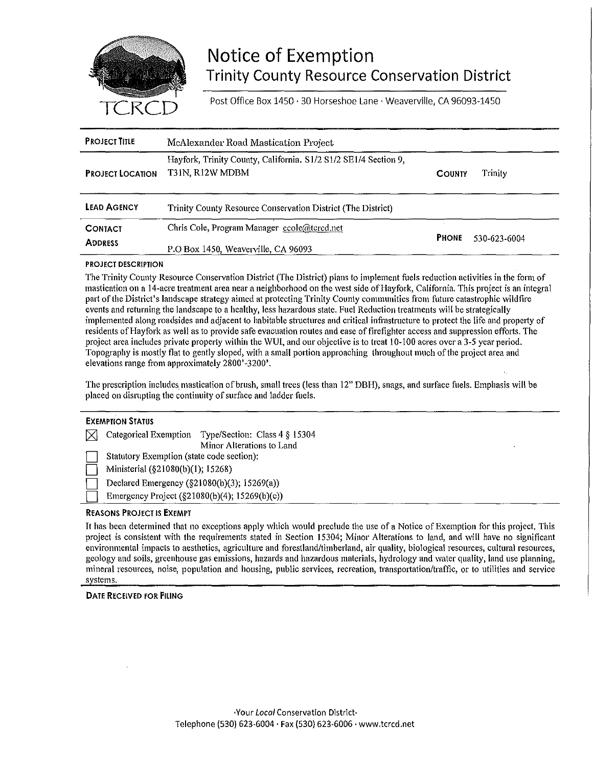

# Notice of Exemption Trinity County Resource Conservation District

Post Office Box 1450 · 30 Horseshoe Lane · Weaverville, CA 96093-1450

| <b>PROJECT TITLE</b>             | McAlexander Road Mastication Project                                               |               |              |
|----------------------------------|------------------------------------------------------------------------------------|---------------|--------------|
| <b>PROJECT LOCATION</b>          | Hayfork, Trinity County, California. S1/2 S1/2 SE1/4 Section 9,<br>T31N, R12W MDBM | <b>COUNTY</b> | Trinity      |
| <b>LEAD AGENCY</b>               | Trinity County Resource Conservation District (The District)                       |               |              |
| <b>CONTACT</b><br><b>ADDRESS</b> | Chris Cole, Program Manager ccole@tcrcd.net<br>P.O Box 1450, Weaverville, CA 96093 | <b>PHONE</b>  | 530-623-6004 |

#### PROJECT DESCRIPTION

The Trinity County Resource Conservation District (The District) plans to implement fuels reduction activities in the form of mastication on a 14-acre treatment area near a neighborhood on the west side of Hayfork, California. This project is an integral part of the District's landscape strategy aimed at protecting Trinity County communities from future catastrophic wildfire events and returning the landscape to a healthy, less hazardous state. Fuel Reduction treatments will be strategically implemented along roadsides and adjacent to habitable structures and critical infrastructure to protect the life and property of residents of Hayfork as well as to provide safe evacuation routes and ease of firefighter access and suppression efforts. The project area includes private property within the WUI, and our objective is to treat 10-100 acres over a 3-5 year period. Topography is mostly flat to gently sloped, with a small portion approaching throughout much of the project area and elevations range from approximately 2800'-3200'.

The prescription includes mastication of brush, small trees (less than 12" DBH), snags, and surface fuels. Emphasis will be placed on disrupting the continuity of surface and ladder fuels.

| <b>EXEMPTION STATUS</b>                             |                           |  |  |  |
|-----------------------------------------------------|---------------------------|--|--|--|
| Categorical Exemption Type/Section: Class 4 § 15304 |                           |  |  |  |
|                                                     | Minor Alterations to Land |  |  |  |
| Statutory Exemption (state code section):           |                           |  |  |  |
| Ministerial (§21080(b)(1); 15268)                   |                           |  |  |  |
| Declared Emergency (§21080(b)(3); 15269(a))         |                           |  |  |  |
| Emergency Project (§21080(b)(4); 15269(b)(c))       |                           |  |  |  |

### REASONS PROJECT IS EXEMPT

It has been determined that no exceptions apply which would preclude the use of a Notice of Exemption for this project. This project is consistent with the requirements stated in Section 15304; Minor Alterations to land, and will have no significant environmental impacts to aesthetics, agriculture and forestland/timberland, air quality, biological resources, cultural resources, geology and soils, greenhouse gas emissions, hazards and hazardous materials, hydrology and water quality, land use planning, mineral resources, noise, population and housing, public services, recreation, transportation/traffic, or to utilities and service systems.

### DATE RECEIVED FOR FILING